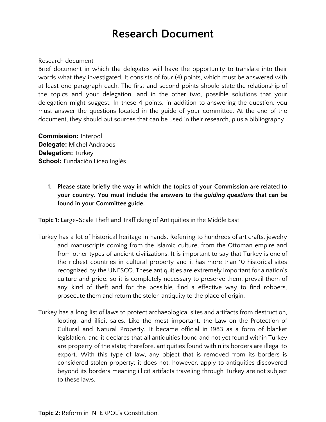## **Research Document**

## Research document

Brief document in which the delegates will have the opportunity to translate into their words what they investigated. It consists of four (4) points, which must be answered with at least one paragraph each. The first and second points should state the relationship of the topics and your delegation, and in the other two, possible solutions that your delegation might suggest. In these 4 points, in addition to answering the question, you must answer the questions located in the guide of your committee. At the end of the document, they should put sources that can be used in their research, plus a bibliography.

**Commission:** Interpol **Delegate:** Michel Andraoos **Delegation:** Turkey **School:** Fundación Liceo Inglés

> **1. Please state briefly the way in which the topics of your Commission are related to your country. You must include the answers to the** *guiding questions* **that can be found in your Committee guide.**

**Topic 1:** Large-Scale Theft and Trafficking of Antiquities in the Middle East.

- Turkey has a lot of historical heritage in hands. Referring to hundreds of art crafts, jewelry and manuscripts coming from the Islamic culture, from the Ottoman empire and from other types of ancient civilizations. It is important to say that Turkey is one of the richest countries in cultural property and it has more than 10 historical sites recognized by the UNESCO. These antiquities are extremely important for a nation's culture and pride, so it is completely necessary to preserve them, prevail them of any kind of theft and for the possible, find a effective way to find robbers, prosecute them and return the stolen antiquity to the place of origin.
- Turkey has a long list of laws to protect archaeological sites and artifacts from destruction, looting, and illicit sales. Like the most important, the Law on the Protection of Cultural and Natural Property. It became official in 1983 as a form of blanket legislation, and it declares that all antiquities found and not yet found within Turkey are property of the state; therefore, antiquities found within its borders are illegal to export. With this type of law, any object that is removed from its borders is considered stolen property; it does not, however, apply to antiquities discovered beyond its borders meaning illicit artifacts traveling through Turkey are not subject to these laws.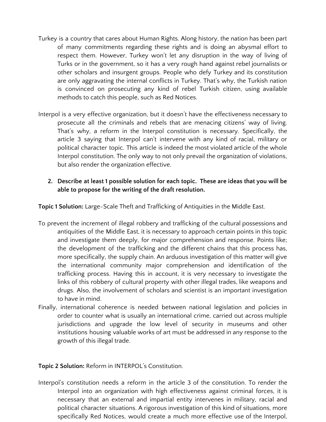- Turkey is a country that cares about Human Rights. Along history, the nation has been part of many commitments regarding these rights and is doing an abysmal effort to respect them. However, Turkey won't let any disruption in the way of living of Turks or in the government, so it has a very rough hand against rebel journalists or other scholars and insurgent groups. People who defy Turkey and its constitution are only aggravating the internal conflicts in Turkey. That's why, the Turkish nation is convinced on prosecuting any kind of rebel Turkish citizen, using available methods to catch this people, such as Red Notices.
- Interpol is a very effective organization, but it doesn't have the effectiveness necessary to prosecute all the criminals and rebels that are menacing citizens' way of living. That's why, a reform in the Interpol constitution is necessary. Specifically, the article 3 saying that Interpol can't intervene with any kind of racial, military or political character topic. This article is indeed the most violated article of the whole Interpol constitution. The only way to not only prevail the organization of violations, but also render the organization effective.
	- **2. Describe at least 1 possible solution for each topic. These are ideas that you will be able to propose for the writing of the draft resolution.**

**Topic 1 Solution:** Large-Scale Theft and Trafficking of Antiquities in the Middle East.

- To prevent the increment of illegal robbery and trafficking of the cultural possessions and antiquities of the Middle East, it is necessary to approach certain points in this topic and investigate them deeply, for major comprehension and response. Points like; the development of the trafficking and the different chains that this process has, more specifically, the supply chain. An arduous investigation of this matter will give the international community major comprehension and identification of the trafficking process. Having this in account, it is very necessary to investigate the links of this robbery of cultural property with other illegal trades, like weapons and drugs. Also, the involvement of scholars and scientist is an important investigation to have in mind.
- Finally, international coherence is needed between national legislation and policies in order to counter what is usually an international crime, carried out across multiple jurisdictions and upgrade the low level of security in museums and other institutions housing valuable works of art must be addressed in any response to the growth of this illegal trade.

## **Topic 2 Solution:** Reform in INTERPOL's Constitution.

Interpol's constitution needs a reform in the article 3 of the constitution. To render the Interpol into an organization with high effectiveness against criminal forces, it is necessary that an external and impartial entity intervenes in military, racial and political character situations. A rigorous investigation of this kind of situations, more specifically Red Notices, would create a much more effective use of the Interpol,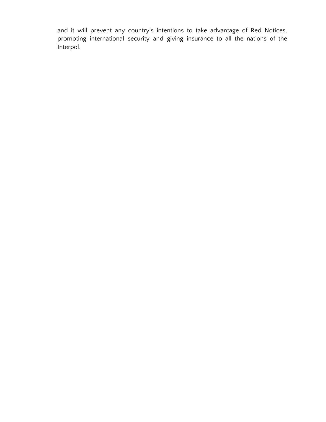and it will prevent any country's intentions to take advantage of Red Notices, promoting international security and giving insurance to all the nations of the Interpol.